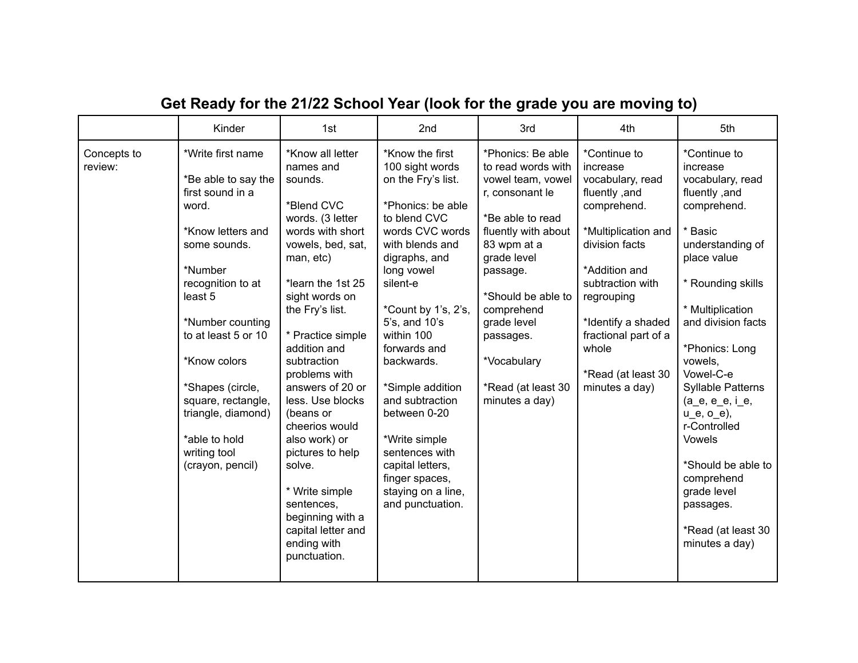|                        | Kinder                                                                                                                                                                                                                                                                                                                                | 1st                                                                                                                                                                                                                                                                                                                                                                                                                                                                                            | 2nd                                                                                                                                                                                                                                                                                                                                                                                                                                          | 3rd                                                                                                                                                                                                                                                                                         | 4th                                                                                                                                                                                                                                                                     | 5th                                                                                                                                                                                                                                                                                                                                                                                                                                        |
|------------------------|---------------------------------------------------------------------------------------------------------------------------------------------------------------------------------------------------------------------------------------------------------------------------------------------------------------------------------------|------------------------------------------------------------------------------------------------------------------------------------------------------------------------------------------------------------------------------------------------------------------------------------------------------------------------------------------------------------------------------------------------------------------------------------------------------------------------------------------------|----------------------------------------------------------------------------------------------------------------------------------------------------------------------------------------------------------------------------------------------------------------------------------------------------------------------------------------------------------------------------------------------------------------------------------------------|---------------------------------------------------------------------------------------------------------------------------------------------------------------------------------------------------------------------------------------------------------------------------------------------|-------------------------------------------------------------------------------------------------------------------------------------------------------------------------------------------------------------------------------------------------------------------------|--------------------------------------------------------------------------------------------------------------------------------------------------------------------------------------------------------------------------------------------------------------------------------------------------------------------------------------------------------------------------------------------------------------------------------------------|
| Concepts to<br>review: | *Write first name<br>*Be able to say the<br>first sound in a<br>word.<br>*Know letters and<br>some sounds.<br>*Number<br>recognition to at<br>least 5<br>*Number counting<br>to at least 5 or 10<br>*Know colors<br>*Shapes (circle,<br>square, rectangle,<br>triangle, diamond)<br>*able to hold<br>writing tool<br>(crayon, pencil) | *Know all letter<br>names and<br>sounds.<br>*Blend CVC<br>words. (3 letter<br>words with short<br>vowels, bed, sat,<br>man, etc)<br>*learn the 1st 25<br>sight words on<br>the Fry's list.<br>* Practice simple<br>addition and<br>subtraction<br>problems with<br>answers of 20 or<br>less. Use blocks<br>(beans or<br>cheerios would<br>also work) or<br>pictures to help<br>solve.<br>* Write simple<br>sentences,<br>beginning with a<br>capital letter and<br>ending with<br>punctuation. | *Know the first<br>100 sight words<br>on the Fry's list.<br>*Phonics: be able<br>to blend CVC<br>words CVC words<br>with blends and<br>digraphs, and<br>long vowel<br>silent-e<br>*Count by 1's, 2's,<br>5's, and 10's<br>within 100<br>forwards and<br>backwards.<br>*Simple addition<br>and subtraction<br>between 0-20<br>*Write simple<br>sentences with<br>capital letters,<br>finger spaces,<br>staying on a line,<br>and punctuation. | *Phonics: Be able<br>to read words with<br>vowel team, vowel<br>r, consonant le<br>*Be able to read<br>fluently with about<br>83 wpm at a<br>grade level<br>passage.<br>*Should be able to<br>comprehend<br>grade level<br>passages.<br>*Vocabulary<br>*Read (at least 30<br>minutes a day) | *Continue to<br>increase<br>vocabulary, read<br>fluently, and<br>comprehend.<br>*Multiplication and<br>division facts<br>*Addition and<br>subtraction with<br>regrouping<br>*Identify a shaded<br>fractional part of a<br>whole<br>*Read (at least 30<br>minutes a day) | *Continue to<br>increase<br>vocabulary, read<br>fluently, and<br>comprehend.<br>* Basic<br>understanding of<br>place value<br>* Rounding skills<br>* Multiplication<br>and division facts<br>*Phonics: Long<br>vowels,<br>Vowel-C-e<br><b>Syllable Patterns</b><br>$(a_e, e_e, i_e,$<br>$u_e$ , $o_e$ ),<br>r-Controlled<br>Vowels<br>*Should be able to<br>comprehend<br>grade level<br>passages.<br>*Read (at least 30<br>minutes a day) |

## **Get Ready for the 21/22 School Year (look for the grade you are moving to)**